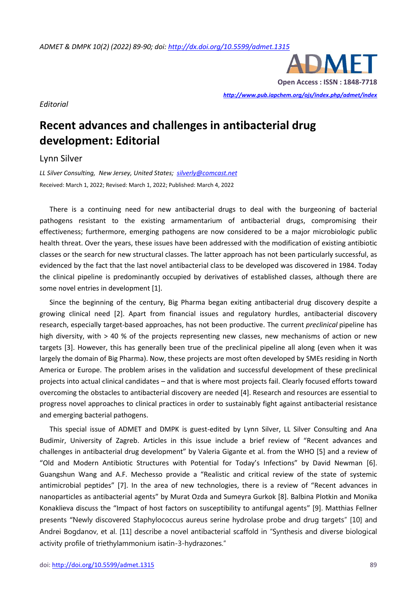

*Editorial*

## **Recent advances and challenges in antibacterial drug development: Editorial**

Lynn Silver

*LL Silver Consulting, New Jersey, United States; [silverly@comcast.net](mailto:silverly@comcast.net)*  Received: March 1, 2022; Revised: March 1, 2022; Published: March 4, 2022

There is a continuing need for new antibacterial drugs to deal with the burgeoning of bacterial pathogens resistant to the existing armamentarium of antibacterial drugs, compromising their effectiveness; furthermore, emerging pathogens are now considered to be a major microbiologic public health threat. Over the years, these issues have been addressed with the modification of existing antibiotic classes or the search for new structural classes. The latter approach has not been particularly successful, as evidenced by the fact that the last novel antibacterial class to be developed was discovered in 1984. Today the clinical pipeline is predominantly occupied by derivatives of established classes, although there are some novel entries in development [1].

Since the beginning of the century, Big Pharma began exiting antibacterial drug discovery despite a growing clinical need [2]. Apart from financial issues and regulatory hurdles, antibacterial discovery research, especially target-based approaches, has not been productive. The current *preclinical* pipeline has high diversity, with > 40 % of the projects representing new classes, new mechanisms of action or new targets [3]. However, this has generally been true of the preclinical pipeline all along (even when it was largely the domain of Big Pharma). Now, these projects are most often developed by SMEs residing in North America or Europe. The problem arises in the validation and successful development of these preclinical projects into actual clinical candidates – and that is where most projects fail. Clearly focused efforts toward overcoming the obstacles to antibacterial discovery are needed [4]. Research and resources are essential to progress novel approaches to clinical practices in order to sustainably fight against antibacterial resistance and emerging bacterial pathogens.

This special issue of ADMET and DMPK is guest-edited by Lynn Silver, LL Silver Consulting and Ana Budimir, University of Zagreb. Articles in this issue include a brief review of "Recent advances and challenges in antibacterial drug development" by Valeria Gigante et al. from the WHO [5] and a review of "Old and Modern Antibiotic Structures with Potential for Today's Infections" by David Newman [6]. Guangshun Wang and A.F. Mechesso provide a "[Realistic and critical review of the state of systemic](https://pub.iapchem.org/ojs/index.php/admet/article/view/1215)  [antimicrobial peptide](https://pub.iapchem.org/ojs/index.php/admet/article/view/1215)s" [7]. In the area of new technologies, there is a review of "[Recent advances in](https://pub.iapchem.org/ojs/index.php/admet/article/view/1172)  [nanoparticles as antibacterial agent](https://pub.iapchem.org/ojs/index.php/admet/article/view/1172)s" by Murat Ozda and Sumeyra Gurkok [8]. Balbina Plotkin and Monika Konaklieva discuss the "[Impact of host factors on susceptibility to antifungal agents](https://pub.iapchem.org/ojs/index.php/admet/article/view/1164)" [9]. Matthias Fellner presents "[Newly discovered Staphylococcus aureus serine hydrolase probe and drug targets](https://pub.iapchem.org/ojs/index.php/admet/article/view/1137)" [10] and Andrei Bogdanov, et al. [11] describe a novel antibacterial scaffold in "[Synthesis and diverse biological](https://pub.iapchem.org/ojs/index.php/admet/article/view/1179)  [activity profile of triethylammonium isatin-3-hydrazones](https://pub.iapchem.org/ojs/index.php/admet/article/view/1179)."